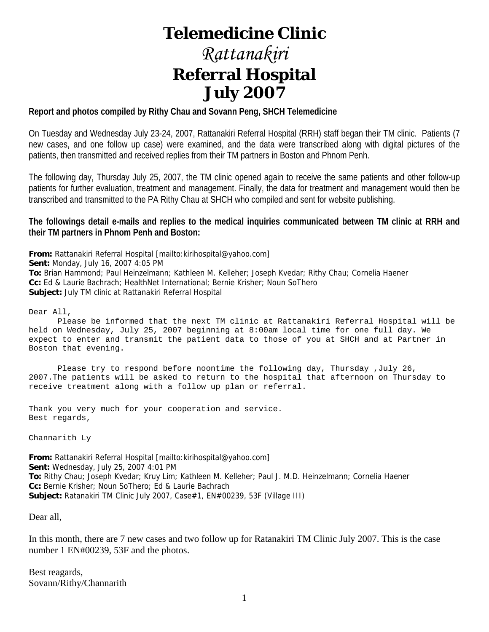# **Telemedicine Clinic**

# *Rattanakiri*  **Referral Hospital July 2007**

# **Report and photos compiled by Rithy Chau and Sovann Peng, SHCH Telemedicine**

On Tuesday and Wednesday July 23-24, 2007, Rattanakiri Referral Hospital (RRH) staff began their TM clinic. Patients (7 new cases, and one follow up case) were examined, and the data were transcribed along with digital pictures of the patients, then transmitted and received replies from their TM partners in Boston and Phnom Penh.

The following day, Thursday July 25, 2007, the TM clinic opened again to receive the same patients and other follow-up patients for further evaluation, treatment and management. Finally, the data for treatment and management would then be transcribed and transmitted to the PA Rithy Chau at SHCH who compiled and sent for website publishing.

# **The followings detail e-mails and replies to the medical inquiries communicated between TM clinic at RRH and their TM partners in Phnom Penh and Boston:**

**From:** Rattanakiri Referral Hospital [mailto:kirihospital@yahoo.com] **Sent:** Monday, July 16, 2007 4:05 PM **To:** Brian Hammond; Paul Heinzelmann; Kathleen M. Kelleher; Joseph Kvedar; Rithy Chau; Cornelia Haener **Cc:** Ed & Laurie Bachrach; HealthNet International; Bernie Krisher; Noun SoThero **Subject:** July TM clinic at Rattanakiri Referral Hospital

Dear All,

 Please be informed that the next TM clinic at Rattanakiri Referral Hospital will be held on Wednesday, July 25, 2007 beginning at 8:00am local time for one full day. We expect to enter and transmit the patient data to those of you at SHCH and at Partner in Boston that evening.

 Please try to respond before noontime the following day, Thursday ,July 26, 2007.The patients will be asked to return to the hospital that afternoon on Thursday to receive treatment along with a follow up plan or referral.

Thank you very much for your cooperation and service. Best regards,

Channarith Ly

**From:** Rattanakiri Referral Hospital [mailto:kirihospital@yahoo.com] **Sent:** Wednesday, July 25, 2007 4:01 PM **To:** Rithy Chau; Joseph Kvedar; Kruy Lim; Kathleen M. Kelleher; Paul J. M.D. Heinzelmann; Cornelia Haener **Cc:** Bernie Krisher; Noun SoThero; Ed & Laurie Bachrach **Subject:** Ratanakiri TM Clinic July 2007, Case#1, EN#00239, 53F (Village III)

Dear all,

In this month, there are 7 new cases and two follow up for Ratanakiri TM Clinic July 2007. This is the case number 1 EN#00239, 53F and the photos.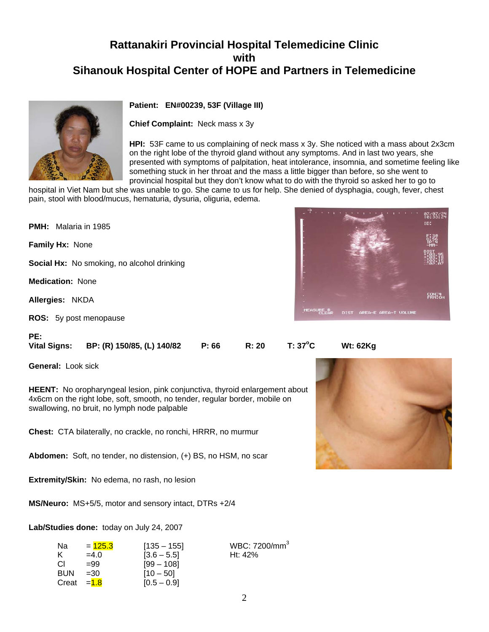

#### **Patient: EN#00239, 53F (Village III)**

**Chief Complaint:** Neck mass x 3y

**HPI:** 53F came to us complaining of neck mass x 3y. She noticed with a mass about 2x3cm on the right lobe of the thyroid gland without any symptoms. And in last two years, she presented with symptoms of palpitation, heat intolerance, insomnia, and sometime feeling like something stuck in her throat and the mass a little bigger than before, so she went to provincial hospital but they don't know what to do with the thyroid so asked her to go to

hospital in Viet Nam but she was unable to go. She came to us for help. She denied of dysphagia, cough, fever, chest pain, stool with blood/mucus, hematuria, dysuria, oliguria, edema.

**PMH:** Malaria in 1985 **Family Hx:** None **Social Hx:** No smoking, no alcohol drinking **Medication:** None **Allergies:** NKDA **ROS:** 5y post menopause



**C Wt: 62Kg**

PE:<br>Vital Signs:

**General:** Look sick

**HEENT:** No oropharyngeal lesion, pink conjunctiva, thyroid enlargement about 4x6cm on the right lobe, soft, smooth, no tender, regular border, mobile on swallowing, no bruit, no lymph node palpable

**Vital Signs: BP: (R) 150/85, (L) 140/82 P: 66 R: 20 T: 37<sup>o</sup>**

**Chest:** CTA bilaterally, no crackle, no ronchi, HRRR, no murmur

**Abdomen:** Soft, no tender, no distension, (+) BS, no HSM, no scar

**Extremity/Skin:** No edema, no rash, no lesion

**MS/Neuro:** MS+5/5, motor and sensory intact, DTRs +2/4

**Lab/Studies done:** today on July 24, 2007

| Na.        | $= 125.3$    | $[135 - 155]$ | WBC: 7200/mm <sup>3</sup> |
|------------|--------------|---------------|---------------------------|
| κ          | $=4.0$       | $[3.6 - 5.5]$ | Ht: $42%$                 |
| СI         | $=99$        | $[99 - 108]$  |                           |
| <b>BUN</b> | $=30$        | $[10 - 50]$   |                           |
|            | Creat $=1.8$ | $[0.5 - 0.9]$ |                           |

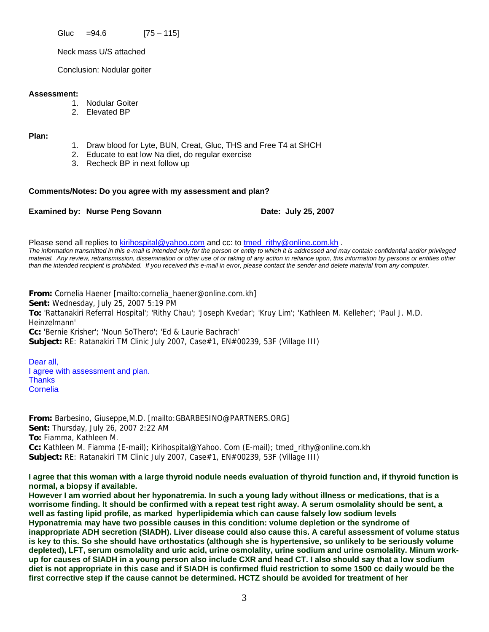Gluc  $=94.6$  [75 – 115]

Neck mass U/S attached

Conclusion: Nodular goiter

#### **Assessment:**

- 1. Nodular Goiter
- 2. Elevated BP

**Plan:**

- 1. Draw blood for Lyte, BUN, Creat, Gluc, THS and Free T4 at SHCH
- 2. Educate to eat low Na diet, do regular exercise
- 3. Recheck BP in next follow up

#### **Comments/Notes: Do you agree with my assessment and plan?**

#### **Examined by: Nurse Peng Sovann Date: July 25, 2007**

Please send all replies to [kirihospital@yahoo.com](mailto:kirihospital@yahoo.com) and cc: to tmed rithy@online.com.kh . *The information transmitted in this e-mail is intended only for the person or entity to which it is addressed and may contain confidential and/or privileged material. Any review, retransmission, dissemination or other use of or taking of any action in reliance upon, this information by persons or entities other than the intended recipient is prohibited. If you received this e-mail in error, please contact the sender and delete material from any computer.*

**From:** Cornelia Haener [mailto:cornelia\_haener@online.com.kh] **Sent:** Wednesday, July 25, 2007 5:19 PM **To:** 'Rattanakiri Referral Hospital'; 'Rithy Chau'; 'Joseph Kvedar'; 'Kruy Lim'; 'Kathleen M. Kelleher'; 'Paul J. M.D. Heinzelmann' **Cc:** 'Bernie Krisher'; 'Noun SoThero'; 'Ed & Laurie Bachrach' **Subject:** RE: Ratanakiri TM Clinic July 2007, Case#1, EN#00239, 53F (Village III)

Dear all, I agree with assessment and plan. **Thanks Cornelia** 

**From:** Barbesino, Giuseppe,M.D. [mailto:GBARBESINO@PARTNERS.ORG] **Sent:** Thursday, July 26, 2007 2:22 AM **To:** Fiamma, Kathleen M. **Cc:** Kathleen M. Fiamma (E-mail); Kirihospital@Yahoo. Com (E-mail); tmed\_rithy@online.com.kh **Subject:** RE: Ratanakiri TM Clinic July 2007, Case#1, EN#00239, 53F (Village III)

**I agree that this woman with a large thyroid nodule needs evaluation of thyroid function and, if thyroid function is normal, a biopsy if available.** 

**However I am worried about her hyponatremia. In such a young lady without illness or medications, that is a worrisome finding. It should be confirmed with a repeat test right away. A serum osmolality should be sent, a well as fasting lipid profile, as marked hyperlipidemia which can cause falsely low sodium levels Hyponatremia may have two possible causes in this condition: volume depletion or the syndrome of inappropriate ADH secretion (SIADH). Liver disease could also cause this. A careful assessment of volume status is key to this. So she should have orthostatics (although she is hypertensive, so unlikely to be seriously volume depleted), LFT, serum osmolality and uric acid, urine osmolality, urine sodium and urine osmolality. Minum workup for causes of SIADH in a young person also include CXR and head CT. I also should say that a low sodium diet is not appropriate in this case and if SIADH is confirmed fluid restriction to some 1500 cc daily would be the first corrective step if the cause cannot be determined. HCTZ should be avoided for treatment of her**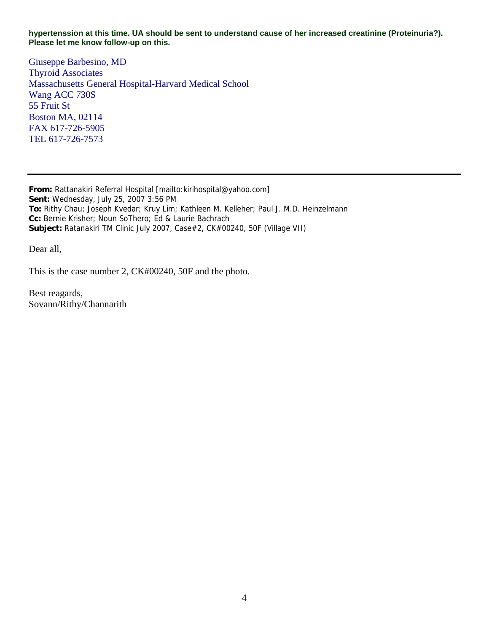**hypertenssion at this time. UA should be sent to understand cause of her increased creatinine (Proteinuria?). Please let me know follow-up on this.** 

Giuseppe Barbesino, MD Thyroid Associates Massachusetts General Hospital-Harvard Medical School Wang ACC 730S 55 Fruit St Boston MA, 02114 FAX 617-726-5905 TEL 617-726-7573

**From:** Rattanakiri Referral Hospital [mailto:kirihospital@yahoo.com] **Sent:** Wednesday, July 25, 2007 3:56 PM **To:** Rithy Chau; Joseph Kvedar; Kruy Lim; Kathleen M. Kelleher; Paul J. M.D. Heinzelmann **Cc:** Bernie Krisher; Noun SoThero; Ed & Laurie Bachrach **Subject:** Ratanakiri TM Clinic July 2007, Case#2, CK#00240, 50F (Village VII)

Dear all,

This is the case number 2, CK#00240, 50F and the photo.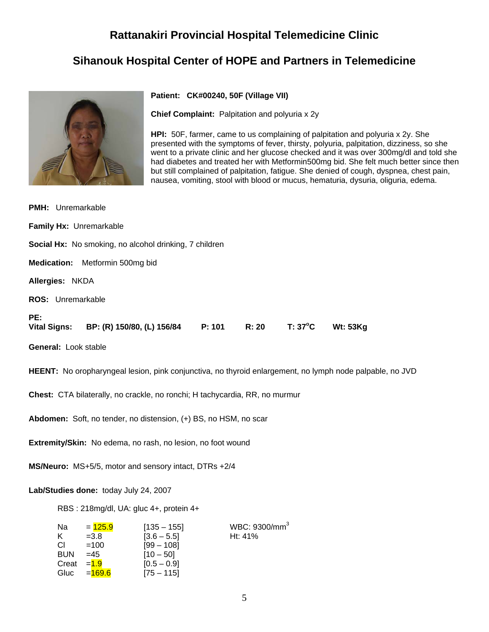# **Rattanakiri Provincial Hospital Telemedicine Clinic**

# **Sihanouk Hospital Center of HOPE and Partners in Telemedicine**



#### **Patient: CK#00240, 50F (Village VII)**

**Chief Complaint:** Palpitation and polyuria x 2y

**HPI:** 50F, farmer, came to us complaining of palpitation and polyuria x 2y. She presented with the symptoms of fever, thirsty, polyuria, palpitation, dizziness, so she went to a private clinic and her glucose checked and it was over 300mg/dl and told she had diabetes and treated her with Metformin500mg bid. She felt much better since then but still complained of palpitation, fatigue. She denied of cough, dyspnea, chest pain, nausea, vomiting, stool with blood or mucus, hematuria, dysuria, oliguria, edema.

| <b>PMH:</b> Unremarkable                                                                                 |  |  |  |  |
|----------------------------------------------------------------------------------------------------------|--|--|--|--|
| Family Hx: Unremarkable                                                                                  |  |  |  |  |
| Social Hx: No smoking, no alcohol drinking, 7 children                                                   |  |  |  |  |
| Medication: Metformin 500mg bid                                                                          |  |  |  |  |
| Allergies: NKDA                                                                                          |  |  |  |  |
| <b>ROS:</b> Unremarkable                                                                                 |  |  |  |  |
| PE:<br>Vital Signs: BP: (R) 150/80, (L) 156/84 P: 101<br>R: 20<br>$T: 37^{\circ}C$<br><b>Wt: 53Kg</b>    |  |  |  |  |
| General: Look stable                                                                                     |  |  |  |  |
| HEENT: No oropharyngeal lesion, pink conjunctiva, no thyroid enlargement, no lymph node palpable, no JVD |  |  |  |  |
| Chest: CTA bilaterally, no crackle, no ronchi; H tachycardia, RR, no murmur                              |  |  |  |  |
| Abdomen: Soft, no tender, no distension, (+) BS, no HSM, no scar                                         |  |  |  |  |
| Extremity/Skin: No edema, no rash, no lesion, no foot wound                                              |  |  |  |  |
| MS/Neuro: MS+5/5, motor and sensory intact, DTRs +2/4                                                    |  |  |  |  |

#### **Lab/Studies done:** today July 24, 2007

RBS : 218mg/dl, UA: gluc 4+, protein 4+

| Na         | $= 125.9$    | $[135 - 155]$ | WBC: 9300/mm <sup>3</sup> |
|------------|--------------|---------------|---------------------------|
| Κ          | $=3.8$       | $[3.6 - 5.5]$ | Ht: 41%                   |
| СI         | $=100$       | $[99 - 108]$  |                           |
| <b>BUN</b> | $=45$        | $[10 - 50]$   |                           |
|            | Creat $=1.9$ | $[0.5 - 0.9]$ |                           |
| Gluc       | $= 169.6$    | $[75 - 115]$  |                           |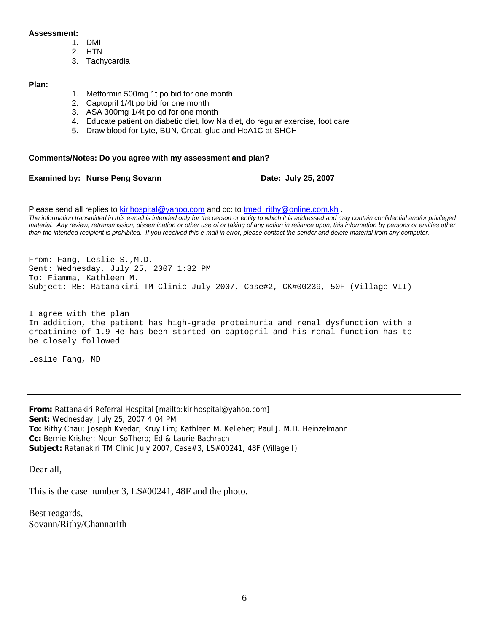#### **Assessment:**

- 1. DMII
- 2. HTN
- 3. Tachycardia

#### **Plan:**

- 1. Metformin 500mg 1t po bid for one month
- 2. Captopril 1/4t po bid for one month
- 3. ASA 300mg 1/4t po qd for one month
- 4. Educate patient on diabetic diet, low Na diet, do regular exercise, foot care
- 5. Draw blood for Lyte, BUN, Creat, gluc and HbA1C at SHCH

#### **Comments/Notes: Do you agree with my assessment and plan?**

**Examined by: Nurse Peng Sovann Date: July 25, 2007** 

Please send all replies to [kirihospital@yahoo.com](mailto:kirihospital@yahoo.com) and cc: to [tmed\\_rithy@online.com.kh](mailto:tmed_rithy@bigpond.com.kh) . *The information transmitted in this e-mail is intended only for the person or entity to which it is addressed and may contain confidential and/or privileged material. Any review, retransmission, dissemination or other use of or taking of any action in reliance upon, this information by persons or entities other than the intended recipient is prohibited. If you received this e-mail in error, please contact the sender and delete material from any computer.*

From: Fang, Leslie S.,M.D. Sent: Wednesday, July 25, 2007 1:32 PM To: Fiamma, Kathleen M. Subject: RE: Ratanakiri TM Clinic July 2007, Case#2, CK#00239, 50F (Village VII)

I agree with the plan In addition, the patient has high-grade proteinuria and renal dysfunction with a creatinine of 1.9 He has been started on captopril and his renal function has to be closely followed

Leslie Fang, MD

**From:** Rattanakiri Referral Hospital [mailto:kirihospital@yahoo.com] **Sent:** Wednesday, July 25, 2007 4:04 PM **To:** Rithy Chau; Joseph Kvedar; Kruy Lim; Kathleen M. Kelleher; Paul J. M.D. Heinzelmann **Cc:** Bernie Krisher; Noun SoThero; Ed & Laurie Bachrach **Subject:** Ratanakiri TM Clinic July 2007, Case#3, LS#00241, 48F (Village I)

Dear all,

This is the case number 3, LS#00241, 48F and the photo.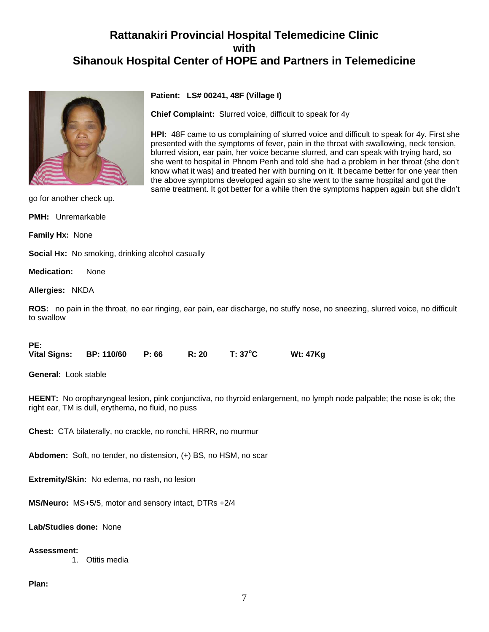

**Patient: LS# 00241, 48F (Village I)**

**Chief Complaint:** Slurred voice, difficult to speak for 4y

**HPI:** 48F came to us complaining of slurred voice and difficult to speak for 4y. First she presented with the symptoms of fever, pain in the throat with swallowing, neck tension, blurred vision, ear pain, her voice became slurred, and can speak with trying hard, so she went to hospital in Phnom Penh and told she had a problem in her throat (she don't know what it was) and treated her with burning on it. It became better for one year then the above symptoms developed again so she went to the same hospital and got the same treatment. It got better for a while then the symptoms happen again but she didn't

go for another check up.

**PMH:** Unremarkable

**Family Hx:** None

**Social Hx:** No smoking, drinking alcohol casually

**Medication:** None

**Allergies:** NKDA

**ROS:** no pain in the throat, no ear ringing, ear pain, ear discharge, no stuffy nose, no sneezing, slurred voice, no difficult to swallow

#### **PE:**

|  | <b>Vital Signs:</b> | <b>BP: 110/60</b> | P: 66 | R: 20 | $T: 37^{\circ}$ C | <b>Wt: 47Kg</b> |
|--|---------------------|-------------------|-------|-------|-------------------|-----------------|
|--|---------------------|-------------------|-------|-------|-------------------|-----------------|

**General:** Look stable

**HEENT:** No oropharyngeal lesion, pink conjunctiva, no thyroid enlargement, no lymph node palpable; the nose is ok; the right ear, TM is dull, erythema, no fluid, no puss

**Chest:** CTA bilaterally, no crackle, no ronchi, HRRR, no murmur

**Abdomen:** Soft, no tender, no distension, (+) BS, no HSM, no scar

**Extremity/Skin:** No edema, no rash, no lesion

**MS/Neuro:** MS+5/5, motor and sensory intact, DTRs +2/4

**Lab/Studies done:** None

#### **Assessment:**

1. Otitis media

#### **Plan:**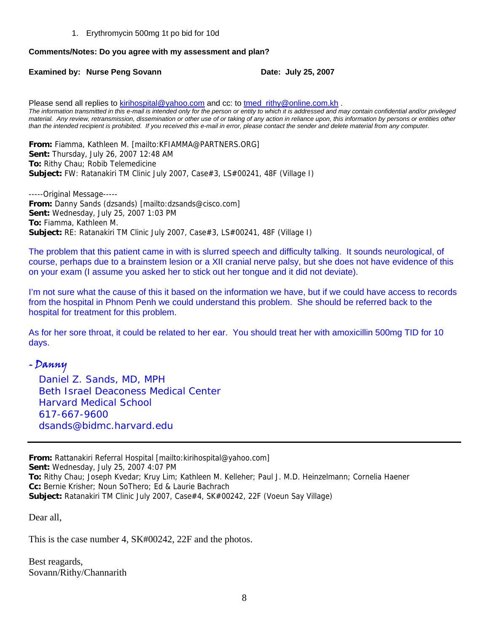1. Erythromycin 500mg 1t po bid for 10d

### **Comments/Notes: Do you agree with my assessment and plan?**

### **Examined by: Nurse Peng Sovann Date: July 25, 2007**

Please send all replies to [kirihospital@yahoo.com](mailto:kirihospital@yahoo.com) and cc: to tmed rithy@online.com.kh . *The information transmitted in this e-mail is intended only for the person or entity to which it is addressed and may contain confidential and/or privileged material. Any review, retransmission, dissemination or other use of or taking of any action in reliance upon, this information by persons or entities other than the intended recipient is prohibited. If you received this e-mail in error, please contact the sender and delete material from any computer.*

**From:** Fiamma, Kathleen M. [mailto:KFIAMMA@PARTNERS.ORG] **Sent:** Thursday, July 26, 2007 12:48 AM **To:** Rithy Chau; Robib Telemedicine **Subject:** FW: Ratanakiri TM Clinic July 2007, Case#3, LS#00241, 48F (Village I)

-----Original Message----- **From:** Danny Sands (dzsands) [mailto:dzsands@cisco.com] **Sent:** Wednesday, July 25, 2007 1:03 PM **To:** Fiamma, Kathleen M. **Subject:** RE: Ratanakiri TM Clinic July 2007, Case#3, LS#00241, 48F (Village I)

The problem that this patient came in with is slurred speech and difficulty talking. It sounds neurological, of course, perhaps due to a brainstem lesion or a XII cranial nerve palsy, but she does not have evidence of this on your exam (I assume you asked her to stick out her tongue and it did not deviate).

I'm not sure what the cause of this it based on the information we have, but if we could have access to records from the hospital in Phnom Penh we could understand this problem. She should be referred back to the hospital for treatment for this problem.

As for her sore throat, it could be related to her ear. You should treat her with amoxicillin 500mg TID for 10 days.

# - Danny

 *Daniel Z. Sands, MD, MPH Beth Israel Deaconess Medical Center Harvard Medical School 617-667-9600 [dsands@bidmc.harvard.edu](mailto:dsands@bidmc.harvard.edu)*

**From:** Rattanakiri Referral Hospital [mailto:kirihospital@yahoo.com] **Sent:** Wednesday, July 25, 2007 4:07 PM **To:** Rithy Chau; Joseph Kvedar; Kruy Lim; Kathleen M. Kelleher; Paul J. M.D. Heinzelmann; Cornelia Haener **Cc:** Bernie Krisher; Noun SoThero; Ed & Laurie Bachrach **Subject:** Ratanakiri TM Clinic July 2007, Case#4, SK#00242, 22F (Voeun Say Village)

Dear all,

This is the case number 4, SK#00242, 22F and the photos.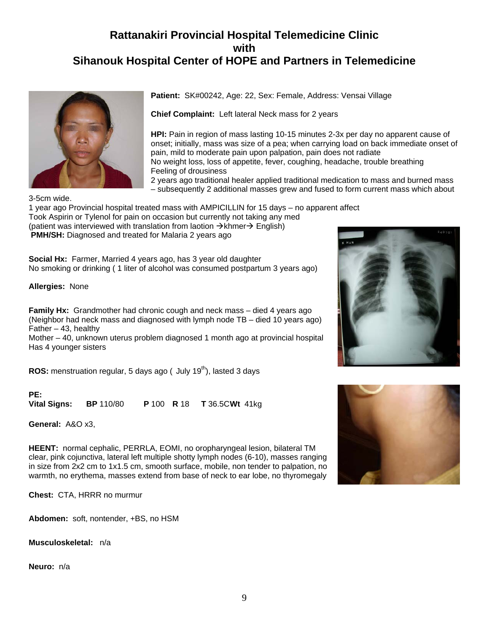

**Patient:** SK#00242, Age: 22, Sex: Female, Address: Vensai Village

**Chief Complaint:** Left lateral Neck mass for 2 years

**HPI:** Pain in region of mass lasting 10-15 minutes 2-3x per day no apparent cause of onset; initially, mass was size of a pea; when carrying load on back immediate onset of pain, mild to moderate pain upon palpation, pain does not radiate No weight loss, loss of appetite, fever, coughing, headache, trouble breathing Feeling of drousiness

2 years ago traditional healer applied traditional medication to mass and burned mass – subsequently 2 additional masses grew and fused to form current mass which about

3-5cm wide. 1 year ago Provincial hospital treated mass with AMPICILLIN for 15 days – no apparent affect Took Aspirin or Tylenol for pain on occasion but currently not taking any med (patient was interviewed with translation from laotion  $\rightarrow$  khmer $\rightarrow$  English) **PMH/SH:** Diagnosed and treated for Malaria 2 years ago

**Social Hx:** Farmer, Married 4 years ago, has 3 year old daughter No smoking or drinking ( 1 liter of alcohol was consumed postpartum 3 years ago)

**Allergies:** None

**Family Hx:** Grandmother had chronic cough and neck mass – died 4 years ago (Neighbor had neck mass and diagnosed with lymph node TB – died 10 years ago) Father  $-43$ , healthy

Mother – 40, unknown uterus problem diagnosed 1 month ago at provincial hospital Has 4 younger sisters

**ROS:** menstruation regular, 5 days ago ( July 19<sup>th</sup>), lasted 3 days

PE:<br>Vital Signs: **Vital Signs: BP** 110/80 **P** 100 **R** 18 **T** 36.5C **Wt** 41kg

**General:** A&O x3,

**HEENT:** normal cephalic, PERRLA, EOMI, no oropharyngeal lesion, bilateral TM clear, pink cojunctiva, lateral left multiple shotty lymph nodes (6-10), masses ranging in size from 2x2 cm to 1x1.5 cm, smooth surface, mobile, non tender to palpation, no warmth, no erythema, masses extend from base of neck to ear lobe, no thyromegaly

**Chest:** CTA, HRRR no murmur

**Abdomen:** soft, nontender, +BS, no HSM

**Musculoskeletal:** n/a

**Neuro:** n/a



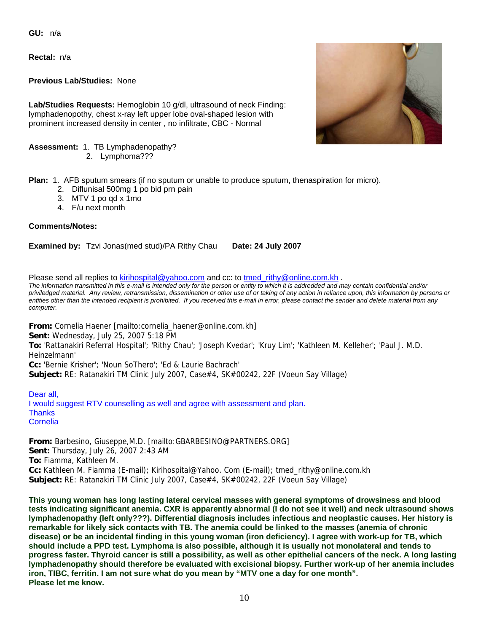**GU:** n/a

**Rectal:** n/a

**Previous Lab/Studies:** None

**Lab/Studies Requests:** Hemoglobin 10 g/dl, ultrasound of neck Finding: lymphadenopothy, chest x-ray left upper lobe oval-shaped lesion with prominent increased density in center , no infiltrate, CBC - Normal

**Assessment:** 1. TB Lymphadenopathy?

2. Lymphoma???

**Plan:** 1. AFB sputum smears (if no sputum or unable to produce sputum, thenaspiration for micro).

- 2. Diflunisal 500mg 1 po bid prn pain
- 3. MTV 1 po qd x 1mo
- 4. F/u next month

#### **Comments/Notes:**

**Examined by:** Tzvi Jonas(med stud)/PA Rithy Chau **Date: 24 July 2007**

Please send all replies to [kirihospital@yahoo.com](mailto:kirihospital@yahoo.com) and cc: to tmed rithy@online.com.kh .

*The information transmitted in this e-mail is intended only for the person or entity to which it is addredded and may contain confidential and/or priviledged material. Any review, retransmission, dissemination or other use of or taking of any action in reliance upon, this information by persons or entities other than the intended recipient is prohibited. If you received this e-mail in error, please contact the sender and delete material from any computer.*

**From:** Cornelia Haener [mailto:cornelia\_haener@online.com.kh] **Sent:** Wednesday, July 25, 2007 5:18 PM **To:** 'Rattanakiri Referral Hospital'; 'Rithy Chau'; 'Joseph Kvedar'; 'Kruy Lim'; 'Kathleen M. Kelleher'; 'Paul J. M.D. Heinzelmann' **Cc:** 'Bernie Krisher'; 'Noun SoThero'; 'Ed & Laurie Bachrach' **Subject:** RE: Ratanakiri TM Clinic July 2007, Case#4, SK#00242, 22F (Voeun Say Village)

Dear all, I would suggest RTV counselling as well and agree with assessment and plan. **Thanks** Cornelia

**From:** Barbesino, Giuseppe,M.D. [mailto:GBARBESINO@PARTNERS.ORG] **Sent:** Thursday, July 26, 2007 2:43 AM **To:** Fiamma, Kathleen M. **Cc:** Kathleen M. Fiamma (E-mail); Kirihospital@Yahoo. Com (E-mail); tmed\_rithy@online.com.kh **Subject:** RE: Ratanakiri TM Clinic July 2007, Case#4, SK#00242, 22F (Voeun Say Village)

**This young woman has long lasting lateral cervical masses with general symptoms of drowsiness and blood tests indicating significant anemia. CXR is apparently abnormal (I do not see it well) and neck ultrasound shows lymphadenopathy (left only???). Differential diagnosis includes infectious and neoplastic causes. Her history is remarkable for likely sick contacts with TB. The anemia could be linked to the masses (anemia of chronic disease) or be an incidental finding in this young woman (iron deficiency). I agree with work-up for TB, which should include a PPD test. Lymphoma is also possible, although it is usually not monolateral and tends to progress faster. Thyroid cancer is still a possibility, as well as other epithelial cancers of the neck. A long lasting lymphadenopathy should therefore be evaluated with excisional biopsy. Further work-up of her anemia includes iron, TIBC, ferritin. I am not sure what do you mean by "MTV one a day for one month". Please let me know.** 

10

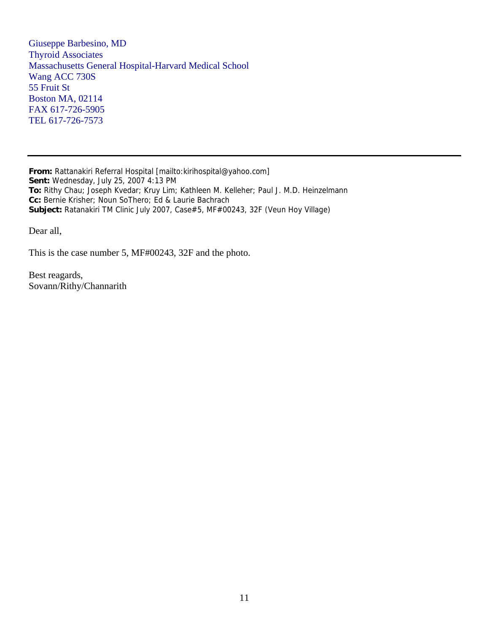Giuseppe Barbesino, MD Thyroid Associates Massachusetts General Hospital-Harvard Medical School Wang ACC 730S 55 Fruit St Boston MA, 02114 FAX 617-726-5905 TEL 617-726-7573

**From:** Rattanakiri Referral Hospital [mailto:kirihospital@yahoo.com] **Sent:** Wednesday, July 25, 2007 4:13 PM **To:** Rithy Chau; Joseph Kvedar; Kruy Lim; Kathleen M. Kelleher; Paul J. M.D. Heinzelmann **Cc:** Bernie Krisher; Noun SoThero; Ed & Laurie Bachrach **Subject:** Ratanakiri TM Clinic July 2007, Case#5, MF#00243, 32F (Veun Hoy Village)

Dear all,

This is the case number 5, MF#00243, 32F and the photo.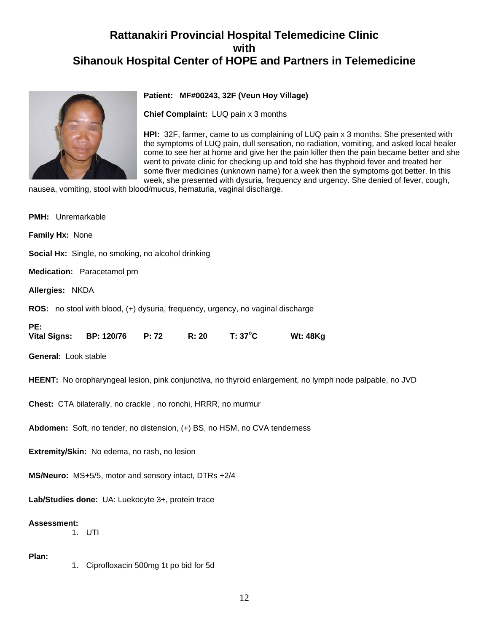

### **Patient: MF#00243, 32F (Veun Hoy Village)**

**Chief Complaint:** LUQ pain x 3 months

**HPI:** 32F, farmer, came to us complaining of LUQ pain x 3 months. She presented with the symptoms of LUQ pain, dull sensation, no radiation, vomiting, and asked local healer come to see her at home and give her the pain killer then the pain became better and she went to private clinic for checking up and told she has thyphoid fever and treated her some fiver medicines (unknown name) for a week then the symptoms got better. In this week, she presented with dysuria, frequency and urgency. She denied of fever, cough,

nausea, vomiting, stool with blood/mucus, hematuria, vaginal discharge.

| PMH: Unremarkable                                                                                        |  |  |  |  |
|----------------------------------------------------------------------------------------------------------|--|--|--|--|
| Family Hx: None                                                                                          |  |  |  |  |
| Social Hx: Single, no smoking, no alcohol drinking                                                       |  |  |  |  |
| Medication: Paracetamol prn                                                                              |  |  |  |  |
| Allergies: NKDA                                                                                          |  |  |  |  |
| <b>ROS:</b> no stool with blood, (+) dysuria, frequency, urgency, no vaginal discharge                   |  |  |  |  |
| PE:<br>$T: 37^{\circ}C$<br>R: 20<br><b>Wt: 48Kg</b><br><b>Vital Signs:</b><br><b>BP: 120/76</b><br>P: 72 |  |  |  |  |
| General: Look stable                                                                                     |  |  |  |  |
| HEENT: No oropharyngeal lesion, pink conjunctiva, no thyroid enlargement, no lymph node palpable, no JVD |  |  |  |  |
| Chest: CTA bilaterally, no crackle, no ronchi, HRRR, no murmur                                           |  |  |  |  |
| Abdomen: Soft, no tender, no distension, (+) BS, no HSM, no CVA tenderness                               |  |  |  |  |
| Extremity/Skin: No edema, no rash, no lesion                                                             |  |  |  |  |
| MS/Neuro: MS+5/5, motor and sensory intact, DTRs +2/4                                                    |  |  |  |  |
| Lab/Studies done: UA: Luekocyte 3+, protein trace                                                        |  |  |  |  |
| <b>Assessment:</b><br>1. UTI                                                                             |  |  |  |  |
| Plan:<br>1. Ciprofloxacin 500mg 1t po bid for 5d                                                         |  |  |  |  |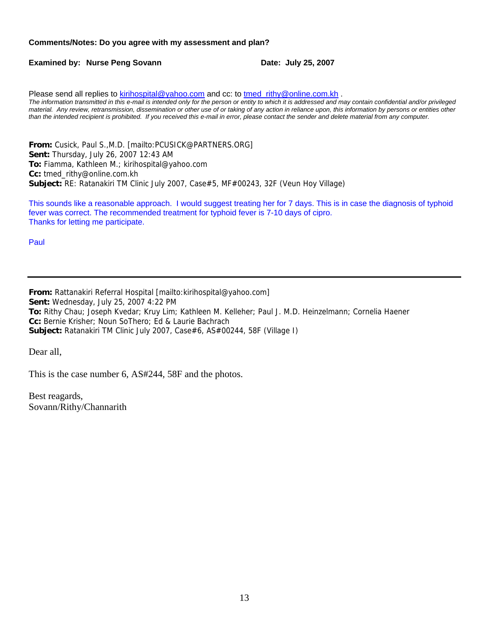#### **Comments/Notes: Do you agree with my assessment and plan?**

**Examined by: Nurse Peng Sovann Date: July 25, 2007** 

Please send all replies to [kirihospital@yahoo.com](mailto:kirihospital@yahoo.com) and cc: to [tmed\\_rithy@online.com.kh](mailto:tmed_rithy@bigpond.com.kh) . *The information transmitted in this e-mail is intended only for the person or entity to which it is addressed and may contain confidential and/or privileged material. Any review, retransmission, dissemination or other use of or taking of any action in reliance upon, this information by persons or entities other than the intended recipient is prohibited. If you received this e-mail in error, please contact the sender and delete material from any computer.*

**From:** Cusick, Paul S.,M.D. [mailto:PCUSICK@PARTNERS.ORG] **Sent:** Thursday, July 26, 2007 12:43 AM **To:** Fiamma, Kathleen M.; kirihospital@yahoo.com **Cc:** tmed\_rithy@online.com.kh **Subject:** RE: Ratanakiri TM Clinic July 2007, Case#5, MF#00243, 32F (Veun Hoy Village)

This sounds like a reasonable approach. I would suggest treating her for 7 days. This is in case the diagnosis of typhoid fever was correct. The recommended treatment for typhoid fever is 7-10 days of cipro. Thanks for letting me participate.

Paul

**From:** Rattanakiri Referral Hospital [mailto:kirihospital@yahoo.com] **Sent:** Wednesday, July 25, 2007 4:22 PM **To:** Rithy Chau; Joseph Kvedar; Kruy Lim; Kathleen M. Kelleher; Paul J. M.D. Heinzelmann; Cornelia Haener **Cc:** Bernie Krisher; Noun SoThero; Ed & Laurie Bachrach **Subject:** Ratanakiri TM Clinic July 2007, Case#6, AS#00244, 58F (Village I)

Dear all,

This is the case number 6, AS#244, 58F and the photos.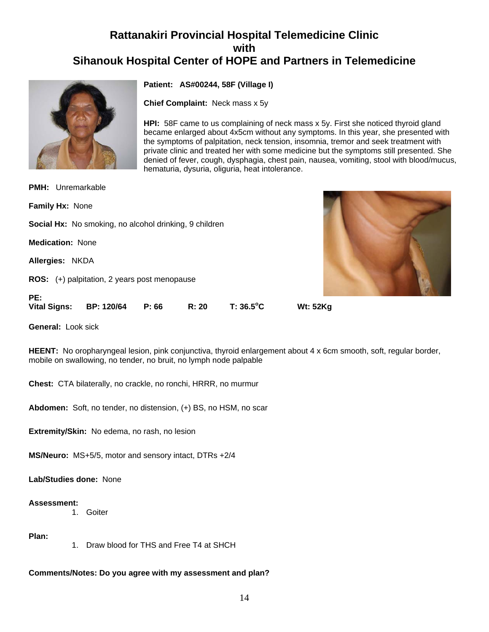

**Patient: AS#00244, 58F (Village I)**

**Chief Complaint:** Neck mass x 5y

**HPI:** 58F came to us complaining of neck mass x 5y. First she noticed thyroid gland became enlarged about 4x5cm without any symptoms. In this year, she presented with the symptoms of palpitation, neck tension, insomnia, tremor and seek treatment with private clinic and treated her with some medicine but the symptoms still presented. She denied of fever, cough, dysphagia, chest pain, nausea, vomiting, stool with blood/mucus, hematuria, dysuria, oliguria, heat intolerance.

| PE:<br><b>Vital Signs:</b> | BP: 120/64<br>P: 66                                           | R: 20 | $T: 36.5$ °C | <b>Wt: 52Kg</b> |  |
|----------------------------|---------------------------------------------------------------|-------|--------------|-----------------|--|
|                            |                                                               |       |              |                 |  |
|                            | <b>ROS:</b> (+) palpitation, 2 years post menopause           |       |              |                 |  |
| Allergies: NKDA            |                                                               |       |              |                 |  |
| <b>Medication: None</b>    |                                                               |       |              |                 |  |
|                            | <b>Social Hx:</b> No smoking, no alcohol drinking, 9 children |       |              |                 |  |
| <b>Family Hx: None</b>     |                                                               |       |              |                 |  |
| <b>PMH:</b> Unremarkable   |                                                               |       |              |                 |  |

**General:** Look sick

**HEENT:** No oropharyngeal lesion, pink conjunctiva, thyroid enlargement about 4 x 6cm smooth, soft, regular border, mobile on swallowing, no tender, no bruit, no lymph node palpable

**Chest:** CTA bilaterally, no crackle, no ronchi, HRRR, no murmur

**Abdomen:** Soft, no tender, no distension, (+) BS, no HSM, no scar

**Extremity/Skin:** No edema, no rash, no lesion

**MS/Neuro:** MS+5/5, motor and sensory intact, DTRs +2/4

**Lab/Studies done:** None

#### **Assessment:**

1. Goiter

### **Plan:**

1. Draw blood for THS and Free T4 at SHCH

**Comments/Notes: Do you agree with my assessment and plan?**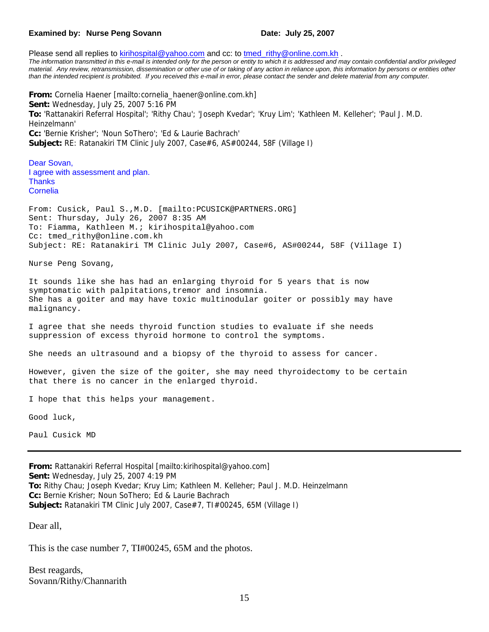#### **Examined by: Nurse Peng Sovann Date: July 25, 2007**

Please send all replies to [kirihospital@yahoo.com](mailto:kirihospital@yahoo.com) and cc: to tmed rithy@online.com.kh . The information transmitted in this e-mail is intended only for the person or entity to which it is addressed and may contain confidential and/or privileged *material. Any review, retransmission, dissemination or other use of or taking of any action in reliance upon, this information by persons or entities other than the intended recipient is prohibited. If you received this e-mail in error, please contact the sender and delete material from any computer.*

**From:** Cornelia Haener [mailto:cornelia\_haener@online.com.kh] **Sent:** Wednesday, July 25, 2007 5:16 PM **To:** 'Rattanakiri Referral Hospital'; 'Rithy Chau'; 'Joseph Kvedar'; 'Kruy Lim'; 'Kathleen M. Kelleher'; 'Paul J. M.D. Heinzelmann' **Cc:** 'Bernie Krisher'; 'Noun SoThero'; 'Ed & Laurie Bachrach' **Subject:** RE: Ratanakiri TM Clinic July 2007, Case#6, AS#00244, 58F (Village I)

Dear Sovan, I agree with assessment and plan. **Thanks** Cornelia

From: Cusick, Paul S.,M.D. [mailto:PCUSICK@PARTNERS.ORG] Sent: Thursday, July 26, 2007 8:35 AM To: Fiamma, Kathleen M.; kirihospital@yahoo.com Cc: tmed\_rithy@online.com.kh Subject: RE: Ratanakiri TM Clinic July 2007, Case#6, AS#00244, 58F (Village I)

Nurse Peng Sovang,

It sounds like she has had an enlarging thyroid for 5 years that is now symptomatic with palpitations,tremor and insomnia. She has a goiter and may have toxic multinodular goiter or possibly may have malignancy.

I agree that she needs thyroid function studies to evaluate if she needs suppression of excess thyroid hormone to control the symptoms.

She needs an ultrasound and a biopsy of the thyroid to assess for cancer.

However, given the size of the goiter, she may need thyroidectomy to be certain that there is no cancer in the enlarged thyroid.

I hope that this helps your management.

Good luck,

Paul Cusick MD

**From:** Rattanakiri Referral Hospital [mailto:kirihospital@yahoo.com] **Sent:** Wednesday, July 25, 2007 4:19 PM **To:** Rithy Chau; Joseph Kvedar; Kruy Lim; Kathleen M. Kelleher; Paul J. M.D. Heinzelmann **Cc:** Bernie Krisher; Noun SoThero; Ed & Laurie Bachrach **Subject:** Ratanakiri TM Clinic July 2007, Case#7, TI#00245, 65M (Village I)

Dear all,

This is the case number 7, TI#00245, 65M and the photos.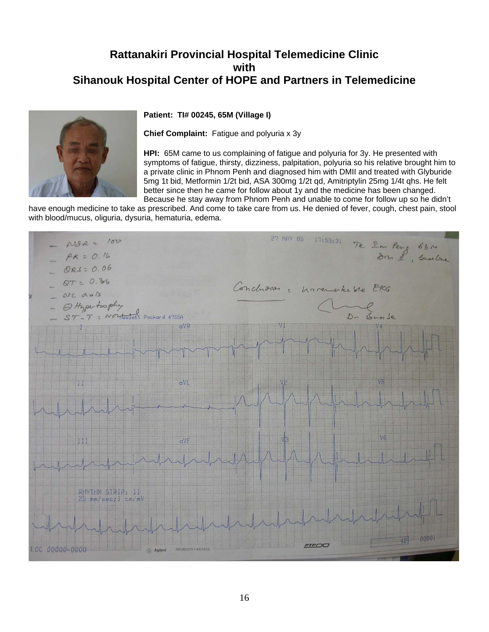

#### **Patient: TI# 00245, 65M (Village I)**

**Chief Complaint:** Fatigue and polyuria x 3y

**HPI:** 65M came to us complaining of fatigue and polyuria for 3y. He presented with symptoms of fatigue, thirsty, dizziness, palpitation, polyuria so his relative brought him to a private clinic in Phnom Penh and diagnosed him with DMII and treated with Glyburide 5mg 1t bid, Metformin 1/2t bid, ASA 300mg 1/2t qd, Amitriptylin 25mg 1/4t qhs. He felt better since then he came for follow about 1y and the medicine has been changed. Because he stay away from Phnom Penh and unable to come for follow up so he didn't

have enough medicine to take as prescribed. And come to take care from us. He denied of fever, cough, chest pain, stool with blood/mucus, oliguria, dysuria, hematuria, edema.

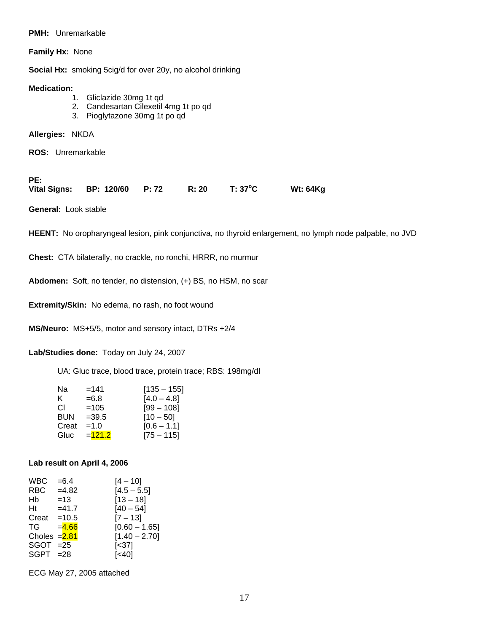#### **PMH:** Unremarkable

**Family Hx:** None

**Social Hx:** smoking 5cig/d for over 20y, no alcohol drinking

#### **Medication:**

- 1. Gliclazide 30mg 1t qd
- 2. Candesartan Cilexetil 4mg 1t po qd
- 3. Pioglytazone 30mg 1t po qd

**Allergies:** NKDA

**ROS:** Unremarkable

| PE:                           |  |       |         |                 |
|-------------------------------|--|-------|---------|-----------------|
| Vital Signs: BP: 120/60 P: 72 |  | R: 20 | T: 37°C | <b>Wt: 64Kg</b> |

**General:** Look stable

**HEENT:** No oropharyngeal lesion, pink conjunctiva, no thyroid enlargement, no lymph node palpable, no JVD

**Chest:** CTA bilaterally, no crackle, no ronchi, HRRR, no murmur

**Abdomen:** Soft, no tender, no distension, (+) BS, no HSM, no scar

**Extremity/Skin:** No edema, no rash, no foot wound

**MS/Neuro:** MS+5/5, motor and sensory intact, DTRs +2/4

**Lab/Studies done:** Today on July 24, 2007

UA: Gluc trace, blood trace, protein trace; RBS: 198mg/dl

| Na         | $=141$   | $[135 - 155]$ |
|------------|----------|---------------|
| ĸ.         | $= 6.8$  | $[4.0 - 4.8]$ |
| СI         | $=105$   | $[99 - 108]$  |
| <b>BUN</b> | $=39.5$  | $[10 - 50]$   |
| Creat      | $=1.0$   | $[0.6 - 1.1]$ |
| Gluc       | $=121.2$ | $[75 - 115]$  |

#### **Lab result on April 4, 2006**

| <b>WBC</b>                  | $= 6.4$  | $[4 - 10]$      |
|-----------------------------|----------|-----------------|
| <b>RBC</b>                  | $=4.82$  | $[4.5 - 5.5]$   |
| Hb                          | $=13$    | $[13 - 18]$     |
| Ht                          | $=41.7$  | [40 – 54]       |
| Creat $=10.5$               |          | $[7 - 13]$      |
| TG                          | $= 4.66$ | $[0.60 - 1.65]$ |
| Choles $=\frac{2.81}{2.81}$ |          | $[1.40 - 2.70]$ |
| $SGOT = 25$                 |          | [<37]           |
| $SGPT = 28$                 |          | [<40]           |

ECG May 27, 2005 attached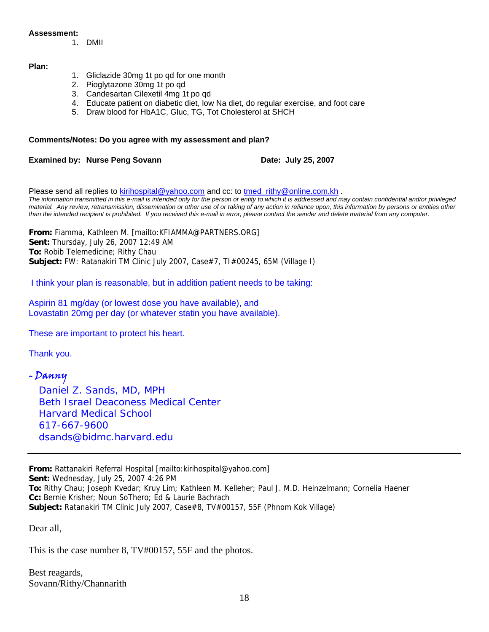#### **Assessment:**

1. DMII

#### **Plan:**

- 1. Gliclazide 30mg 1t po qd for one month
- 2. Pioglytazone 30mg 1t po qd
- 3. Candesartan Cilexetil 4mg 1t po qd
- 4. Educate patient on diabetic diet, low Na diet, do regular exercise, and foot care
- 5. Draw blood for HbA1C, Gluc, TG, Tot Cholesterol at SHCH

#### **Comments/Notes: Do you agree with my assessment and plan?**

**Examined by: Nurse Peng Sovann Date: July 25, 2007** 

Please send all replies to [kirihospital@yahoo.com](mailto:kirihospital@yahoo.com) and cc: to tmed rithy@online.com.kh . *The information transmitted in this e-mail is intended only for the person or entity to which it is addressed and may contain confidential and/or privileged material. Any review, retransmission, dissemination or other use of or taking of any action in reliance upon, this information by persons or entities other than the intended recipient is prohibited. If you received this e-mail in error, please contact the sender and delete material from any computer.*

**From:** Fiamma, Kathleen M. [mailto:KFIAMMA@PARTNERS.ORG] **Sent:** Thursday, July 26, 2007 12:49 AM **To:** Robib Telemedicine; Rithy Chau **Subject:** FW: Ratanakiri TM Clinic July 2007, Case#7, TI#00245, 65M (Village I)

I think your plan is reasonable, but in addition patient needs to be taking:

Aspirin 81 mg/day (or lowest dose you have available), and Lovastatin 20mg per day (or whatever statin you have available).

These are important to protect his heart.

Thank you.

# - Danny

 *Daniel Z. Sands, MD, MPH Beth Israel Deaconess Medical Center Harvard Medical School 617-667-9600 [dsands@bidmc.harvard.edu](mailto:dsands@bidmc.harvard.edu)*

**From:** Rattanakiri Referral Hospital [mailto:kirihospital@yahoo.com] **Sent:** Wednesday, July 25, 2007 4:26 PM **To:** Rithy Chau; Joseph Kvedar; Kruy Lim; Kathleen M. Kelleher; Paul J. M.D. Heinzelmann; Cornelia Haener **Cc:** Bernie Krisher; Noun SoThero; Ed & Laurie Bachrach **Subject:** Ratanakiri TM Clinic July 2007, Case#8, TV#00157, 55F (Phnom Kok Village)

Dear all,

This is the case number 8, TV#00157, 55F and the photos.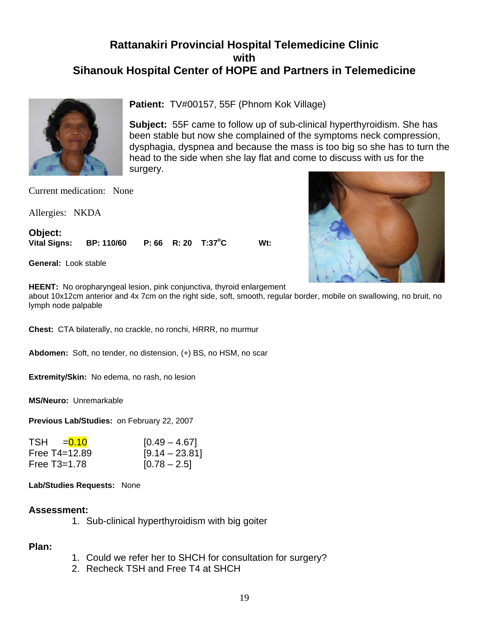

**Patient:** TV#00157, 55F (Phnom Kok Village)

**Subject:** 55F came to follow up of sub-clinical hyperthyroidism. She has been stable but now she complained of the symptoms neck compression, dysphagia, dyspnea and because the mass is too big so she has to turn the head to the side when she lay flat and come to discuss with us for the surgery.

Current medication: None

Allergies: NKDA

**Object: Vital Signs: BP: 110/60 P: 66 R: 20 T:37<sup>o</sup>** W<sub>t:</sub>

**General:** Look stable

**HEENT:** No oropharyngeal lesion, pink conjunctiva, thyroid enlargement

about 10x12cm anterior and 4x 7cm on the right side, soft, smooth, regular border, mobile on swallowing, no bruit, no lymph node palpable

**Chest:** CTA bilaterally, no crackle, no ronchi, HRRR, no murmur

**Abdomen:** Soft, no tender, no distension, (+) BS, no HSM, no scar

**Extremity/Skin:** No edema, no rash, no lesion

**MS/Neuro:** Unremarkable

**Previous Lab/Studies:** on February 22, 2007

| TSH = 0.10        | $[0.49 - 4.67]$  |
|-------------------|------------------|
| Free $T4 = 12.89$ | $[9.14 - 23.81]$ |
| Free $T3=1.78$    | $[0.78 - 2.5]$   |

**Lab/Studies Requests:** None

#### **Assessment:**

1. Sub-clinical hyperthyroidism with big goiter

## **Plan:**

- 1. Could we refer her to SHCH for consultation for surgery?
- 2. Recheck TSH and Free T4 at SHCH

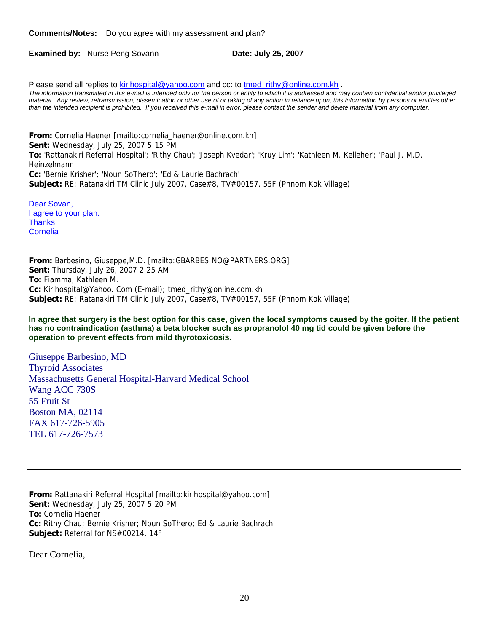**Comments/Notes:** Do you agree with my assessment and plan?

**Examined by:** Nurse Peng Sovann **Date: July 25, 2007** 

Please send all replies to [kirihospital@yahoo.com](mailto:kirihospital@yahoo.com) and cc: to [tmed\\_rithy@online.com.kh](mailto:tmed_rithy@bigpond.com.kh) . *The information transmitted in this e-mail is intended only for the person or entity to which it is addressed and may contain confidential and/or privileged material. Any review, retransmission, dissemination or other use of or taking of any action in reliance upon, this information by persons or entities other than the intended recipient is prohibited. If you received this e-mail in error, please contact the sender and delete material from any computer.*

**From:** Cornelia Haener [mailto:cornelia\_haener@online.com.kh] **Sent:** Wednesday, July 25, 2007 5:15 PM **To:** 'Rattanakiri Referral Hospital'; 'Rithy Chau'; 'Joseph Kvedar'; 'Kruy Lim'; 'Kathleen M. Kelleher'; 'Paul J. M.D. Heinzelmann' **Cc:** 'Bernie Krisher'; 'Noun SoThero'; 'Ed & Laurie Bachrach' **Subject:** RE: Ratanakiri TM Clinic July 2007, Case#8, TV#00157, 55F (Phnom Kok Village)

Dear Sovan, I agree to your plan. **Thanks** Cornelia

**From:** Barbesino, Giuseppe,M.D. [mailto:GBARBESINO@PARTNERS.ORG] **Sent:** Thursday, July 26, 2007 2:25 AM **To:** Fiamma, Kathleen M. **Cc:** Kirihospital@Yahoo. Com (E-mail); tmed\_rithy@online.com.kh **Subject:** RE: Ratanakiri TM Clinic July 2007, Case#8, TV#00157, 55F (Phnom Kok Village)

**In agree that surgery is the best option for this case, given the local symptoms caused by the goiter. If the patient has no contraindication (asthma) a beta blocker such as propranolol 40 mg tid could be given before the operation to prevent effects from mild thyrotoxicosis.** 

Giuseppe Barbesino, MD Thyroid Associates Massachusetts General Hospital-Harvard Medical School Wang ACC 730S 55 Fruit St Boston MA, 02114 FAX 617-726-5905 TEL 617-726-7573

**From:** Rattanakiri Referral Hospital [mailto:kirihospital@yahoo.com] **Sent:** Wednesday, July 25, 2007 5:20 PM **To:** Cornelia Haener **Cc:** Rithy Chau; Bernie Krisher; Noun SoThero; Ed & Laurie Bachrach **Subject:** Referral for NS#00214, 14F

Dear Cornelia,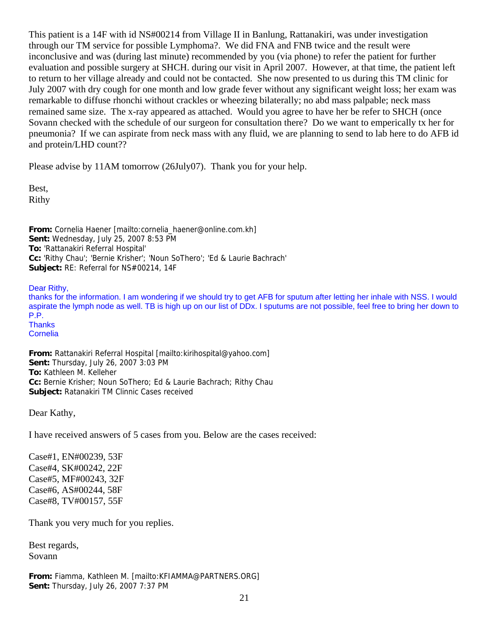This patient is a 14F with id NS#00214 from Village II in Banlung, Rattanakiri, was under investigation through our TM service for possible Lymphoma?. We did FNA and FNB twice and the result were inconclusive and was (during last minute) recommended by you (via phone) to refer the patient for further evaluation and possible surgery at SHCH. during our visit in April 2007. However, at that time, the patient left to return to her village already and could not be contacted. She now presented to us during this TM clinic for July 2007 with dry cough for one month and low grade fever without any significant weight loss; her exam was remarkable to diffuse rhonchi without crackles or wheezing bilaterally; no abd mass palpable; neck mass remained same size. The x-ray appeared as attached. Would you agree to have her be refer to SHCH (once Sovann checked with the schedule of our surgeon for consultation there? Do we want to emperically tx her for pneumonia? If we can aspirate from neck mass with any fluid, we are planning to send to lab here to do AFB id and protein/LHD count??

Please advise by 11AM tomorrow (26July07). Thank you for your help.

Best, Rithy

**From:** Cornelia Haener [mailto:cornelia\_haener@online.com.kh] **Sent:** Wednesday, July 25, 2007 8:53 PM **To:** 'Rattanakiri Referral Hospital' **Cc:** 'Rithy Chau'; 'Bernie Krisher'; 'Noun SoThero'; 'Ed & Laurie Bachrach' **Subject:** RE: Referral for NS#00214, 14F

Dear Rithy,

thanks for the information. I am wondering if we should try to get AFB for sputum after letting her inhale with NSS. I would aspirate the lymph node as well. TB is high up on our list of DDx. I sputums are not possible, feel free to bring her down to P.P. **Thanks** Cornelia

**From:** Rattanakiri Referral Hospital [mailto:kirihospital@yahoo.com] **Sent:** Thursday, July 26, 2007 3:03 PM **To:** Kathleen M. Kelleher **Cc:** Bernie Krisher; Noun SoThero; Ed & Laurie Bachrach; Rithy Chau **Subject:** Ratanakiri TM Clinnic Cases received

Dear Kathy,

I have received answers of 5 cases from you. Below are the cases received:

Case#1, EN#00239, 53F Case#4, SK#00242, 22F Case#5, MF#00243, 32F Case#6, AS#00244, 58F Case#8, TV#00157, 55F

Thank you very much for you replies.

Best regards, Sovann

**From:** Fiamma, Kathleen M. [mailto:KFIAMMA@PARTNERS.ORG] **Sent:** Thursday, July 26, 2007 7:37 PM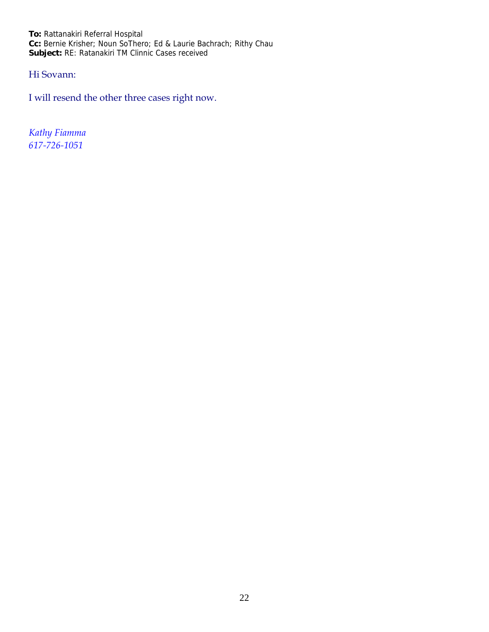**To:** Rattanakiri Referral Hospital **Cc:** Bernie Krisher; Noun SoThero; Ed & Laurie Bachrach; Rithy Chau **Subject:** RE: Ratanakiri TM Clinnic Cases received

# Hi Sovann:

I will resend the other three cases right now.

*Kathy Fiamma 617‐726‐1051*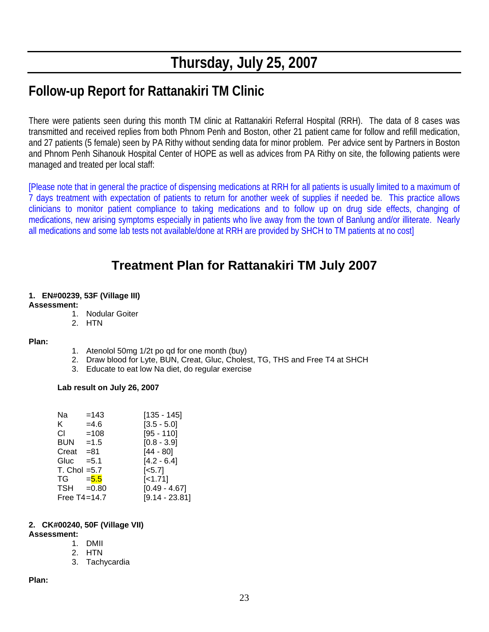# **Thursday, July 25, 2007**

# **Follow-up Report for Rattanakiri TM Clinic**

There were patients seen during this month TM clinic at Rattanakiri Referral Hospital (RRH). The data of 8 cases was transmitted and received replies from both Phnom Penh and Boston, other 21 patient came for follow and refill medication, and 27 patients (5 female) seen by PA Rithy without sending data for minor problem. Per advice sent by Partners in Boston and Phnom Penh Sihanouk Hospital Center of HOPE as well as advices from PA Rithy on site, the following patients were managed and treated per local staff:

[Please note that in general the practice of dispensing medications at RRH for all patients is usually limited to a maximum of 7 days treatment with expectation of patients to return for another week of supplies if needed be. This practice allows clinicians to monitor patient compliance to taking medications and to follow up on drug side effects, changing of medications, new arising symptoms especially in patients who live away from the town of Banlung and/or illiterate. Nearly all medications and some lab tests not available/done at RRH are provided by SHCH to TM patients at no cost]

# **Treatment Plan for Rattanakiri TM July 2007**

# **1. EN#00239, 53F (Village III)**

### **Assessment:**

- 1. Nodular Goiter
- 2. HTN

#### **Plan:**

- 1. Atenolol 50mg 1/2t po qd for one month (buy)
- 2. Draw blood for Lyte, BUN, Creat, Gluc, Cholest, TG, THS and Free T4 at SHCH
- 3. Educate to eat low Na diet, do regular exercise

#### **Lab result on July 26, 2007**

| Na                | $=143$  | [135 - 145]           |
|-------------------|---------|-----------------------|
| K.                | $=4.6$  | $[3.5 - 5.0]$         |
| СI                | $=108$  | $[95 - 110]$          |
| <b>BUN</b>        | $=1.5$  | $[0.8 - 3.9]$         |
| Creat             | =81     | $[44 - 80]$           |
| Gluc              | $= 5.1$ | $[4.2 - 6.4]$         |
| $T.$ Chol = $5.7$ |         | $\left[ <5.7 \right]$ |
| TG                | $= 5.5$ | $[-1.71]$             |
| $TSH = 0.80$      |         | $[0.49 - 4.67]$       |
| Free $T4 = 14.7$  |         | $[9.14 - 23.81]$      |

#### **2. CK#00240, 50F (Village VII)**

#### **Assessment:**

- 1. DMII
- 2. HTN
- 3. Tachycardia

**Plan:**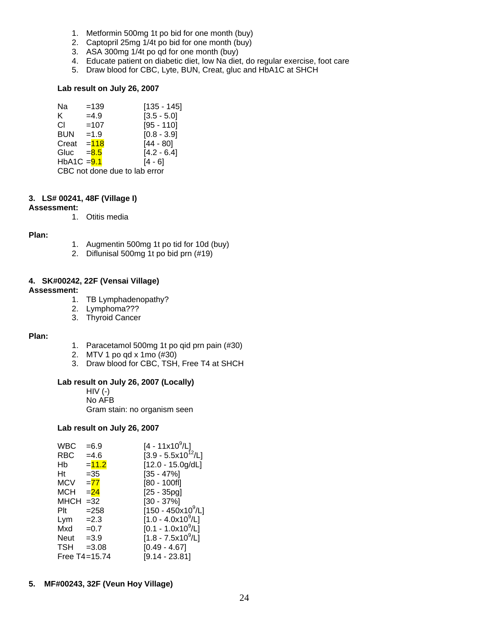- 1. Metformin 500mg 1t po bid for one month (buy)
- 2. Captopril 25mg 1/4t po bid for one month (buy)
- 3. ASA 300mg 1/4t po qd for one month (buy)
- 4. Educate patient on diabetic diet, low Na diet, do regular exercise, foot care
- 5. Draw blood for CBC, Lyte, BUN, Creat, gluc and HbA1C at SHCH

#### **Lab result on July 26, 2007**

| Na            | $=139$                        | [135 - 145]   |
|---------------|-------------------------------|---------------|
| K.            | $=4.9$                        | $[3.5 - 5.0]$ |
| СL            | $=107$                        | $[95 - 110]$  |
| <b>BUN</b>    | $=1.9$                        | $[0.8 - 3.9]$ |
| Creat         | $=118$                        | $[44 - 80]$   |
| Gluc          | $= 8.5$                       | $[4.2 - 6.4]$ |
| $HbA1C = 9.1$ |                               | $[4 - 6]$     |
|               | CBC not done due to lab error |               |

#### **3. LS# 00241, 48F (Village I)**

#### **Assessment:**

1. Otitis media

#### **Plan:**

- 1. Augmentin 500mg 1t po tid for 10d (buy)
- 2. Diflunisal 500mg 1t po bid prn (#19)

#### **4. SK#00242, 22F (Vensai Village)**

#### **Assessment:**

- 1. TB Lymphadenopathy?
- 2. Lymphoma???
- 3. Thyroid Cancer

#### **Plan:**

- 1. Paracetamol 500mg 1t po qid prn pain (#30)
- 2. MTV 1 po qd x 1mo (#30)
- 3. Draw blood for CBC, TSH, Free T4 at SHCH

### **Lab result on July 26, 2007 (Locally)**

 HIV (-) No AFB Gram stain: no organism seen

#### **Lab result on July 26, 2007**

| WBC         | $= 6.9$       | $[4 - 11 \times 10^9/L]$       |
|-------------|---------------|--------------------------------|
| RBC         | $=4.6$        | $[3.9 - 5.5x10^{12}/L]$        |
| Hb          | $= 11.2$      | $[12.0 - 15.0g/dL]$            |
| Ht          | $=35$         | $[35 - 47\%]$                  |
| <b>MCV</b>  | $= 77$        | $[80 - 100f]$                  |
| <b>MCH</b>  | $= 24$        | $[25 - 35pg]$                  |
| <b>MHCH</b> | $=32$         | $[30 - 37\%]$                  |
| Plt         | $= 258$       | $[150 - 450x10^9/L]$           |
| Lym         | $=2.3$        | [1.0 - 4.0x10 <sup>9</sup> /L] |
| Mxd         | $=0.7$        | [0.1 - 1.0x10 <sup>9</sup> /L] |
| Neut        | $=3.9$        | $[1.8 - 7.5x10^9/L]$           |
| <b>TSH</b>  | $= 3.08$      | $[0.49 - 4.67]$                |
|             | Free T4=15.74 | $[9.14 - 23.81]$               |

**5. MF#00243, 32F (Veun Hoy Village)**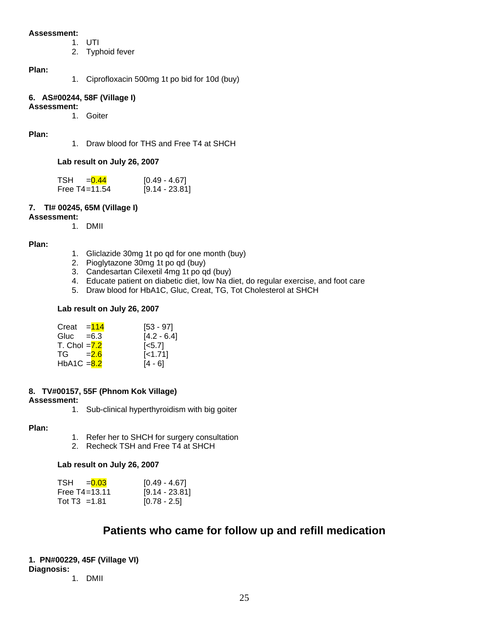#### **Assessment:**

- 1. UTI
- 2. Typhoid fever

#### **Plan:**

1. Ciprofloxacin 500mg 1t po bid for 10d (buy)

### **6. AS#00244, 58F (Village I)**

### **Assessment:**

1. Goiter

#### **Plan:**

1. Draw blood for THS and Free T4 at SHCH

#### **Lab result on July 26, 2007**

| TSH = $0.44$      | [0.49 - 4.67]    |
|-------------------|------------------|
| Free $T4 = 11.54$ | $[9.14 - 23.81]$ |

#### **7. TI# 00245, 65M (Village I)**

#### **Assessment:**

1. DMII

#### **Plan:**

- 1. Gliclazide 30mg 1t po qd for one month (buy)
- 2. Pioglytazone 30mg 1t po qd (buy)
- 3. Candesartan Cilexetil 4mg 1t po qd (buy)
- 4. Educate patient on diabetic diet, low Na diet, do regular exercise, and foot care
- 5. Draw blood for HbA1C, Gluc, Creat, TG, Tot Cholesterol at SHCH

#### **Lab result on July 26, 2007**

| Creat $= 114$  | $[53 - 97]$        |
|----------------|--------------------|
| Gluc $=6.3$    | $[4.2 - 6.4]$      |
| T. Chol $=7.2$ | $\left[5.7\right]$ |
| $TG = 2.6$     | $[-1.71]$          |
| HbA1C $= 8.2$  | $[4 - 6]$          |

#### **8. TV#00157, 55F (Phnom Kok Village)**

#### **Assessment:**

1. Sub-clinical hyperthyroidism with big goiter

#### **Plan:**

- 1. Refer her to SHCH for surgery consultation
- 2. Recheck TSH and Free T4 at SHCH

#### **Lab result on July 26, 2007**

| $TSH = 0.03$      | [0.49 - 4.67]    |
|-------------------|------------------|
| Free $T4 = 13.11$ | $[9.14 - 23.81]$ |
| Tot $T3 = 1.81$   | $[0.78 - 2.5]$   |

# **Patients who came for follow up and refill medication**

#### **1. PN#00229, 45F (Village VI) Diagnosis:**

1. DMII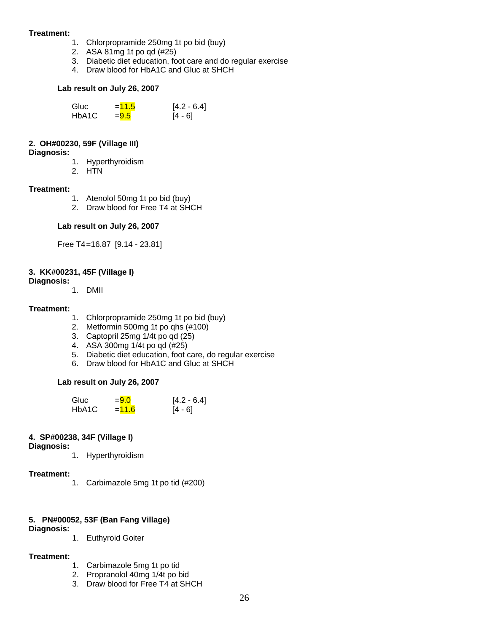#### **Treatment:**

- 1. Chlorpropramide 250mg 1t po bid (buy)
- 2. ASA 81mg 1t po qd (#25)
- 3. Diabetic diet education, foot care and do regular exercise
- 4. Draw blood for HbA1C and Gluc at SHCH

#### **Lab result on July 26, 2007**

| Gluc  | $=11.5$ | $[4.2 - 6.4]$ |
|-------|---------|---------------|
| HbA1C | $= 9.5$ | $[4 - 6]$     |

#### **2. OH#00230, 59F (Village III)**

#### **Diagnosis:**

- 1. Hyperthyroidism
- 2. HTN

#### **Treatment:**

- 1. Atenolol 50mg 1t po bid (buy)
- 2. Draw blood for Free T4 at SHCH

#### **Lab result on July 26, 2007**

Free T4 =16.87 [9.14 - 23.81]

## **3. KK#00231, 45F (Village I)**

#### **Diagnosis:**

1. DMII

#### **Treatment:**

- 1. Chlorpropramide 250mg 1t po bid (buy)
- 2. Metformin 500mg 1t po qhs (#100)
- 3. Captopril 25mg 1/4t po qd (25)
- 4. ASA 300mg  $1/4t$  po qd  $(\#25)$
- 5. Diabetic diet education, foot care, do regular exercise
- 6. Draw blood for HbA1C and Gluc at SHCH

#### **Lab result on July 26, 2007**

| Gluc  | $= 9.0$  | $[4.2 - 6.4]$ |
|-------|----------|---------------|
| HbA1C | $= 11.6$ | $[4 - 6]$     |

### **4. SP#00238, 34F (Village I)**

**Diagnosis:**

1. Hyperthyroidism

#### **Treatment:**

1. Carbimazole 5mg 1t po tid (#200)

### **5. PN#00052, 53F (Ban Fang Village)**

#### **Diagnosis:**

1. Euthyroid Goiter

#### **Treatment:**

- 1. Carbimazole 5mg 1t po tid
- 2. Propranolol 40mg 1/4t po bid
- 3. Draw blood for Free T4 at SHCH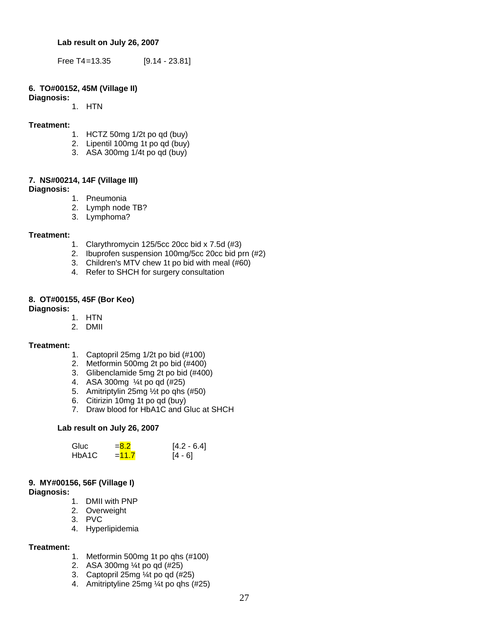**Lab result on July 26, 2007** 

Free T4=13.35 [9.14 - 23.81]

#### **6. TO#00152, 45M (Village II)**

**Diagnosis:**

1. HTN

#### **Treatment:**

- 1. HCTZ 50mg 1/2t po qd (buy)
- 2. Lipentil 100mg 1t po qd (buy)
- 3. ASA 300mg 1/4t po qd (buy)

#### **7. NS#00214, 14F (Village III)**

#### **Diagnosis:**

- 1. Pneumonia
- 2. Lymph node TB?
- 3. Lymphoma?

#### **Treatment:**

- 1. Clarythromycin 125/5cc 20cc bid x 7.5d (#3)
- 2. Ibuprofen suspension 100mg/5cc 20cc bid prn (#2)
- 3. Children's MTV chew 1t po bid with meal (#60)
- 4. Refer to SHCH for surgery consultation

#### **8. OT#00155, 45F (Bor Keo)**

#### **Diagnosis:**

- 1. HTN
- 2. DMII

#### **Treatment:**

- 1. Captopril 25mg 1/2t po bid (#100)
- 2. Metformin 500mg 2t po bid (#400)
- 3. Glibenclamide 5mg 2t po bid (#400)
- 4. ASA 300mg ¼t po qd (#25)
- 5. Amitriptylin 25mg ½t po qhs (#50)
- 6. Citirizin 10mg 1t po qd (buy)
- 7. Draw blood for HbA1C and Gluc at SHCH

#### **Lab result on July 26, 2007**

| Gluc  | $= 8.2$ | $[4.2 - 6.4]$ |
|-------|---------|---------------|
| HbA1C | $=11.7$ | $[4 - 6]$     |

# **9. MY#00156, 56F (Village I)**

### **Diagnosis:**

- 1. DMII with PNP
- 2. Overweight
- 3. PVC
- 4. Hyperlipidemia

#### **Treatment:**

- 1. Metformin 500mg 1t po qhs (#100)
- 2. ASA 300mg ¼t po qd (#25)
- 3. Captopril 25mg ¼t po qd (#25)
- 4. Amitriptyline 25mg ¼t po qhs (#25)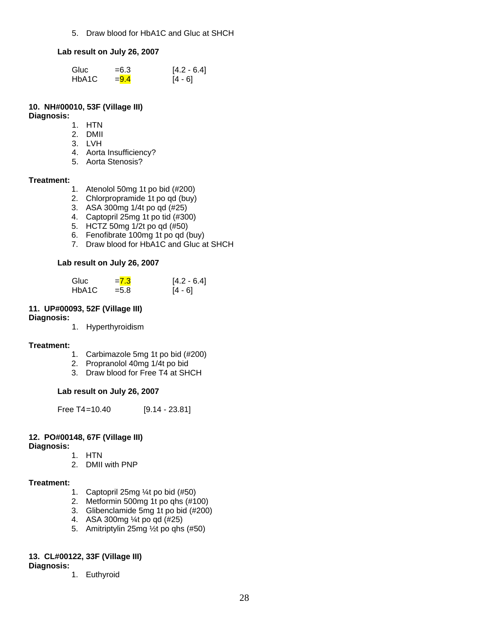5. Draw blood for HbA1C and Gluc at SHCH

#### **Lab result on July 26, 2007**

| Gluc  | $= 6.3$ | $[4.2 - 6.4]$ |
|-------|---------|---------------|
| HbA1C | $= 9.4$ | $[4 - 6]$     |

#### **10. NH#00010, 53F (Village III) Diagnosis:**

- 1. HTN
- 2. DMII
- 3. LVH
- 4. Aorta Insufficiency?
- 5. Aorta Stenosis?

#### **Treatment:**

- 1. Atenolol 50mg 1t po bid (#200)
- 2. Chlorpropramide 1t po qd (buy)
- 3. ASA 300mg 1/4t po qd (#25)
- 4. Captopril 25mg 1t po tid (#300)
- 5. HCTZ 50mg 1/2t po qd (#50)
- 6. Fenofibrate 100mg 1t po qd (buy)
- 7. Draw blood for HbA1C and Gluc at SHCH

#### **Lab result on July 26, 2007**

| Gluc  | $= 7.3$ | $[4.2 - 6.4]$ |
|-------|---------|---------------|
| HbA1C | $= 5.8$ | $[4 - 6]$     |

#### **11. UP#00093, 52F (Village III)**

#### **Diagnosis:**

1. Hyperthyroidism

#### **Treatment:**

- 1. Carbimazole 5mg 1t po bid (#200)
- 2. Propranolol 40mg 1/4t po bid
- 3. Draw blood for Free T4 at SHCH

#### **Lab result on July 26, 2007**

Free T4=10.40 [9.14 - 23.81]

## **12. PO#00148, 67F (Village III)**

**Diagnosis:** 

- 1. HTN
- 2. DMII with PNP

#### **Treatment:**

- 1. Captopril 25mg ¼t po bid (#50)
- 2. Metformin 500mg 1t po qhs (#100)
- 3. Glibenclamide 5mg 1t po bid (#200)
- 4. ASA 300mg ¼t po qd (#25)
- 5. Amitriptylin 25mg ½t po qhs (#50)

#### **13. CL#00122, 33F (Village III)**

#### **Diagnosis:**

1. Euthyroid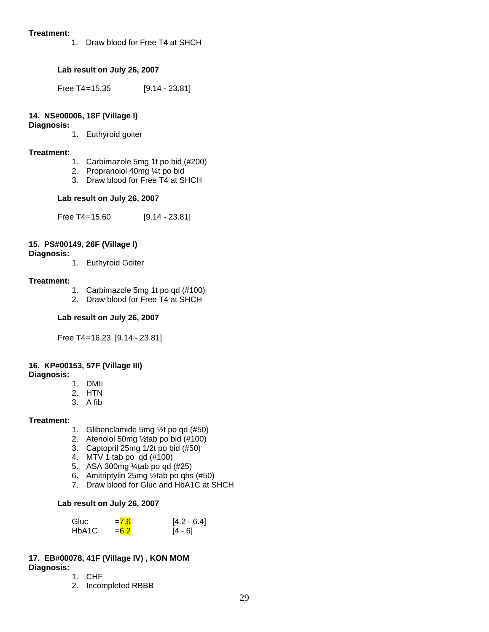#### **Treatment:**

1. Draw blood for Free T4 at SHCH

## **Lab result on July 26, 2007**

Free T4=15.35 [9.14 - 23.81]

### **14. NS#00006, 18F (Village I)**

**Diagnosis:** 

1. Euthyroid goiter

#### **Treatment:**

- 1. Carbimazole 5mg 1t po bid (#200)
- 2. Propranolol 40mg ¼t po bid
- 3. Draw blood for Free T4 at SHCH

### **Lab result on July 26, 2007**

Free T4=15.60 [9.14 - 23.81]

### **15. PS#00149, 26F (Village I)**

#### **Diagnosis:**

1. Euthyroid Goiter

#### **Treatment:**

- 1. Carbimazole 5mg 1t po qd (#100)
- 2. Draw blood for Free T4 at SHCH

#### **Lab result on July 26, 2007**

Free T4 =16.23 [9.14 - 23.81]

## **16. KP#00153, 57F (Village III)**

#### **Diagnosis:**

- 1. DMII
- 2. HTN
- 3. A fib

#### **Treatment:**

- 1. Glibenclamide 5mg ½t po qd (#50)
- 2. Atenolol 50mg ½tab po bid (#100)
- 3. Captopril 25mg 1/2t po bid (#50)
- 4. MTV 1 tab po qd (#100)
- 5. ASA 300mg ¼tab po qd (#25)
- 6. Amitriptylin 25mg  $\frac{1}{2}$ tab po ghs (#50)
- 7. Draw blood for Gluc and HbA1C at SHCH

#### **Lab result on July 26, 2007**

| Gluc  | $= 7.6$ | $[4.2 - 6.4]$ |
|-------|---------|---------------|
| HbA1C | $= 6.2$ | $[4 - 6]$     |

# **17. EB#00078, 41F (Village IV) , KON MOM**

- **Diagnosis:** 
	- 1. CHF
	- 2. Incompleted RBBB